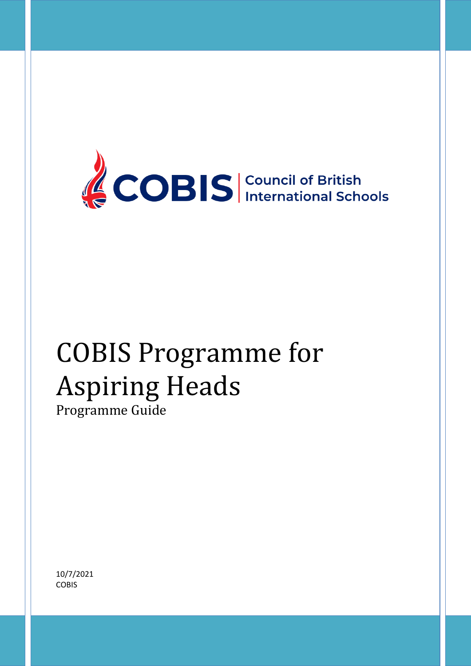

# COBIS Programme for Aspiring Heads

Programme Guide

10/7/2021 **COBIS**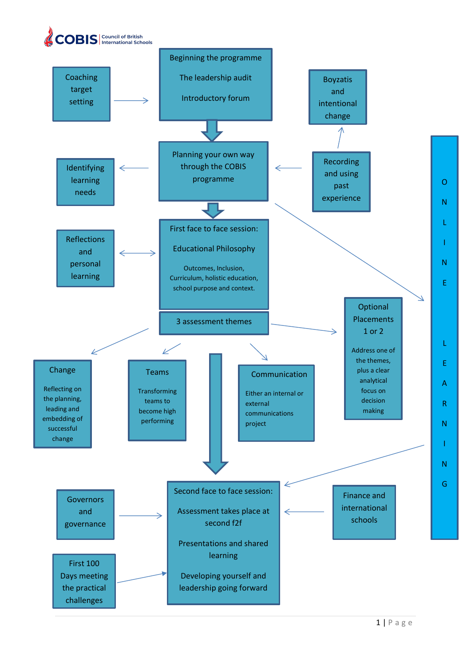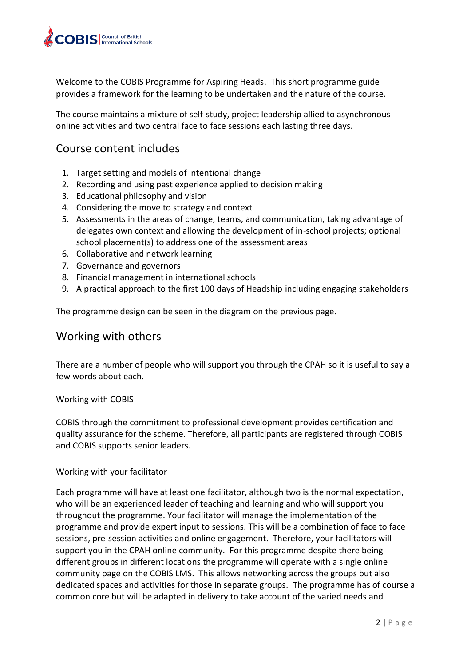

Welcome to the COBIS Programme for Aspiring Heads. This short programme guide provides a framework for the learning to be undertaken and the nature of the course.

The course maintains a mixture of self-study, project leadership allied to asynchronous online activities and two central face to face sessions each lasting three days.

# Course content includes

- 1. Target setting and models of intentional change
- 2. Recording and using past experience applied to decision making
- 3. Educational philosophy and vision
- 4. Considering the move to strategy and context
- 5. Assessments in the areas of change, teams, and communication, taking advantage of delegates own context and allowing the development of in-school projects; optional school placement(s) to address one of the assessment areas
- 6. Collaborative and network learning
- 7. Governance and governors
- 8. Financial management in international schools
- 9. A practical approach to the first 100 days of Headship including engaging stakeholders

The programme design can be seen in the diagram on the previous page.

## Working with others

There are a number of people who will support you through the CPAH so it is useful to say a few words about each.

#### Working with COBIS

COBIS through the commitment to professional development provides certification and quality assurance for the scheme. Therefore, all participants are registered through COBIS and COBIS supports senior leaders.

#### Working with your facilitator

Each programme will have at least one facilitator, although two is the normal expectation, who will be an experienced leader of teaching and learning and who will support you throughout the programme. Your facilitator will manage the implementation of the programme and provide expert input to sessions. This will be a combination of face to face sessions, pre-session activities and online engagement. Therefore, your facilitators will support you in the CPAH online community. For this programme despite there being different groups in different locations the programme will operate with a single online community page on the COBIS LMS. This allows networking across the groups but also dedicated spaces and activities for those in separate groups. The programme has of course a common core but will be adapted in delivery to take account of the varied needs and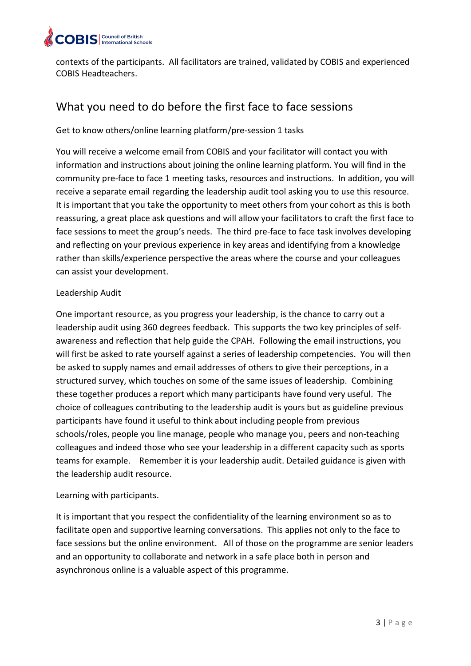

contexts of the participants. All facilitators are trained, validated by COBIS and experienced COBIS Headteachers.

# What you need to do before the first face to face sessions

#### Get to know others/online learning platform/pre-session 1 tasks

You will receive a welcome email from COBIS and your facilitator will contact you with information and instructions about joining the online learning platform. You will find in the community pre-face to face 1 meeting tasks, resources and instructions. In addition, you will receive a separate email regarding the leadership audit tool asking you to use this resource. It is important that you take the opportunity to meet others from your cohort as this is both reassuring, a great place ask questions and will allow your facilitators to craft the first face to face sessions to meet the group's needs. The third pre-face to face task involves developing and reflecting on your previous experience in key areas and identifying from a knowledge rather than skills/experience perspective the areas where the course and your colleagues can assist your development.

#### Leadership Audit

One important resource, as you progress your leadership, is the chance to carry out a leadership audit using 360 degrees feedback. This supports the two key principles of selfawareness and reflection that help guide the CPAH. Following the email instructions, you will first be asked to rate yourself against a series of leadership competencies. You will then be asked to supply names and email addresses of others to give their perceptions, in a structured survey, which touches on some of the same issues of leadership. Combining these together produces a report which many participants have found very useful. The choice of colleagues contributing to the leadership audit is yours but as guideline previous participants have found it useful to think about including people from previous schools/roles, people you line manage, people who manage you, peers and non-teaching colleagues and indeed those who see your leadership in a different capacity such as sports teams for example. Remember it is your leadership audit. Detailed guidance is given with the leadership audit resource.

#### Learning with participants.

It is important that you respect the confidentiality of the learning environment so as to facilitate open and supportive learning conversations. This applies not only to the face to face sessions but the online environment. All of those on the programme are senior leaders and an opportunity to collaborate and network in a safe place both in person and asynchronous online is a valuable aspect of this programme.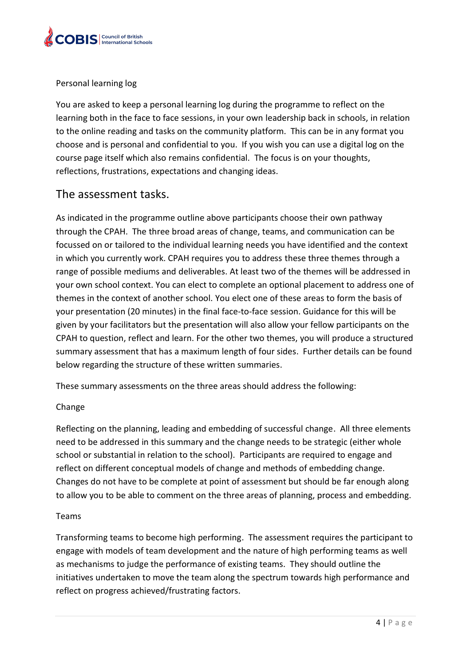

#### Personal learning log

You are asked to keep a personal learning log during the programme to reflect on the learning both in the face to face sessions, in your own leadership back in schools, in relation to the online reading and tasks on the community platform. This can be in any format you choose and is personal and confidential to you. If you wish you can use a digital log on the course page itself which also remains confidential. The focus is on your thoughts, reflections, frustrations, expectations and changing ideas.

### The assessment tasks.

As indicated in the programme outline above participants choose their own pathway through the CPAH. The three broad areas of change, teams, and communication can be focussed on or tailored to the individual learning needs you have identified and the context in which you currently work. CPAH requires you to address these three themes through a range of possible mediums and deliverables. At least two of the themes will be addressed in your own school context. You can elect to complete an optional placement to address one of themes in the context of another school. You elect one of these areas to form the basis of your presentation (20 minutes) in the final face-to-face session. Guidance for this will be given by your facilitators but the presentation will also allow your fellow participants on the CPAH to question, reflect and learn. For the other two themes, you will produce a structured summary assessment that has a maximum length of four sides. Further details can be found below regarding the structure of these written summaries.

These summary assessments on the three areas should address the following:

#### Change

Reflecting on the planning, leading and embedding of successful change. All three elements need to be addressed in this summary and the change needs to be strategic (either whole school or substantial in relation to the school). Participants are required to engage and reflect on different conceptual models of change and methods of embedding change. Changes do not have to be complete at point of assessment but should be far enough along to allow you to be able to comment on the three areas of planning, process and embedding.

#### Teams

Transforming teams to become high performing. The assessment requires the participant to engage with models of team development and the nature of high performing teams as well as mechanisms to judge the performance of existing teams. They should outline the initiatives undertaken to move the team along the spectrum towards high performance and reflect on progress achieved/frustrating factors.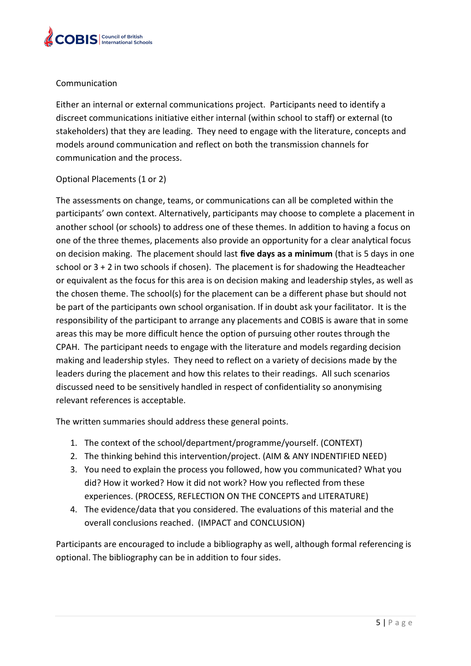

#### Communication

Either an internal or external communications project. Participants need to identify a discreet communications initiative either internal (within school to staff) or external (to stakeholders) that they are leading. They need to engage with the literature, concepts and models around communication and reflect on both the transmission channels for communication and the process.

#### Optional Placements (1 or 2)

The assessments on change, teams, or communications can all be completed within the participants' own context. Alternatively, participants may choose to complete a placement in another school (or schools) to address one of these themes. In addition to having a focus on one of the three themes, placements also provide an opportunity for a clear analytical focus on decision making. The placement should last **five days as a minimum** (that is 5 days in one school or 3 + 2 in two schools if chosen). The placement is for shadowing the Headteacher or equivalent as the focus for this area is on decision making and leadership styles, as well as the chosen theme. The school(s) for the placement can be a different phase but should not be part of the participants own school organisation. If in doubt ask your facilitator. It is the responsibility of the participant to arrange any placements and COBIS is aware that in some areas this may be more difficult hence the option of pursuing other routes through the CPAH. The participant needs to engage with the literature and models regarding decision making and leadership styles. They need to reflect on a variety of decisions made by the leaders during the placement and how this relates to their readings. All such scenarios discussed need to be sensitively handled in respect of confidentiality so anonymising relevant references is acceptable.

The written summaries should address these general points.

- 1. The context of the school/department/programme/yourself. (CONTEXT)
- 2. The thinking behind this intervention/project. (AIM & ANY INDENTIFIED NEED)
- 3. You need to explain the process you followed, how you communicated? What you did? How it worked? How it did not work? How you reflected from these experiences. (PROCESS, REFLECTION ON THE CONCEPTS and LITERATURE)
- 4. The evidence/data that you considered. The evaluations of this material and the overall conclusions reached. (IMPACT and CONCLUSION)

Participants are encouraged to include a bibliography as well, although formal referencing is optional. The bibliography can be in addition to four sides.